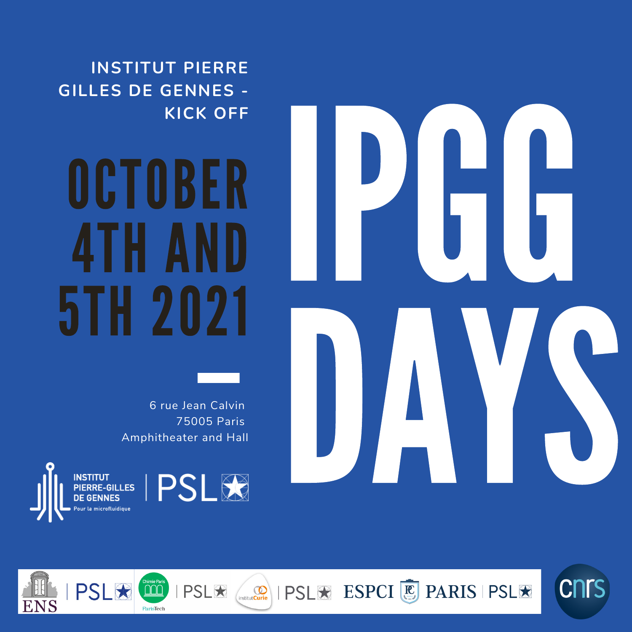**INSTITUT PIERRE GILLES DE GENNES - KICK OFF**

### OCTOBER 4TH AND 5TH 2021

6 rue Jean Calvin 75005 Paris Amphitheater and Hall

**INSTITUT** PIERRE-GILLES



 $PSL$   $\star$   $\circ$ 



**IPSLE ESPCI C** PARIS PSLE

**CNTS** 

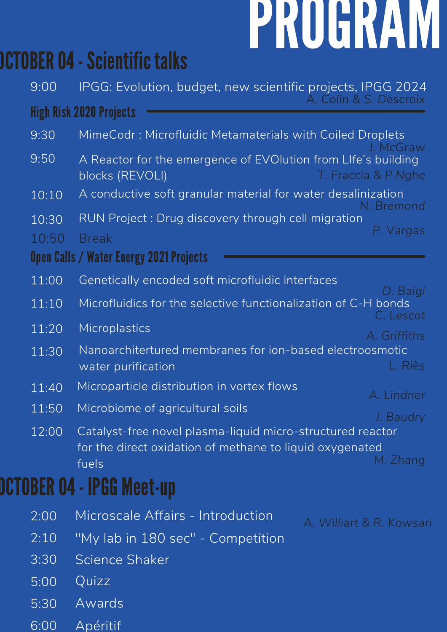# PROGRAM

### **OCTOBER 04 - Scientific talks**

| 9:00  | IPGG: Evolution, budget, new scientific projects, IPGG 2024                                                            |
|-------|------------------------------------------------------------------------------------------------------------------------|
|       | A. Colin & S. Descroix<br><b>High Risk 2020 Projects</b>                                                               |
| 9:30  | MimeCodr: Microfluidic Metamaterials with Coiled Droplets                                                              |
| 9:50  | J. McGraw<br>A Reactor for the emergence of EVOIution from LIfe's building<br>T. Fraccia & P.Nghe<br>blocks (REVOLI)   |
| 10:10 | A conductive soft granular material for water desalinization<br>. Bremond                                              |
| 10:30 | RUN Project: Drug discovery through cell migration                                                                     |
| 10:50 | P. Vargas<br><b>Break</b>                                                                                              |
|       | Open Calls / Water Energy 2021 Projects                                                                                |
| 11:00 | Genetically encoded soft microfluidic interfaces                                                                       |
| 11:10 | D. Baigl<br>Microfluidics for the selective functionalization of C-H bonds<br>C. Lescot                                |
| 11:20 | Microplastics<br>A. Griffiths                                                                                          |
| 11:30 | Nanoarchitertured membranes for ion-based electroosmotic<br>L. Riès<br>water purification                              |
| 11:40 | Microparticle distribution in vortex flows<br>A. Lindner                                                               |
| 11:50 | Microbiome of agricultural soils<br>J. Baudry                                                                          |
| 12:00 | Catalyst-free novel plasma-liquid micro-structured reactor<br>for the direct oxidation of methane to liquid oxygenated |
|       | M. Zhang<br>fuels                                                                                                      |
|       | DCTOBER 04 - IPGG Meet-up                                                                                              |
| 2:00  | Microscale Affairs - Introduction<br>A. Williart & R. Kowsari                                                          |
| 2:10  | "My lab in 180 sec" - Competition                                                                                      |
| 3:30  | Science Shaker                                                                                                         |
| 5:00  | Quizz                                                                                                                  |
| 5:30  | Awards                                                                                                                 |
| 6:00  | Apéritif                                                                                                               |